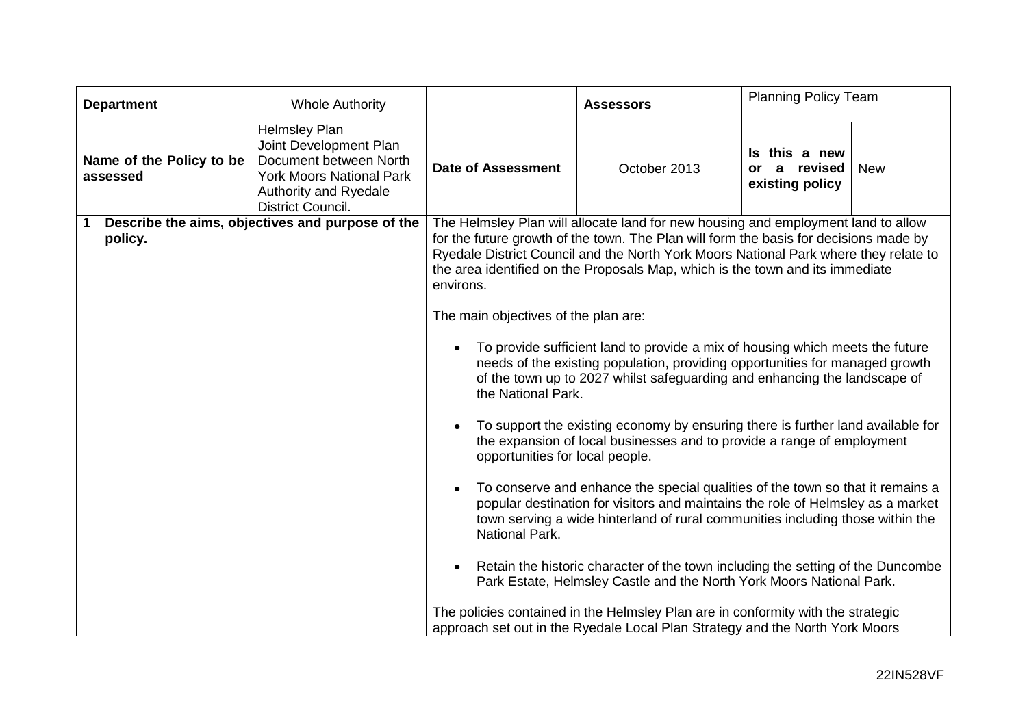| <b>Department</b>                    | <b>Whole Authority</b>                                                                                                                                    | <b>Assessors</b>                                                                                                                                                                                                                                                                                                                                                                                                                                                                                                                                                                                                                                                                                                                                                                                                                                                                                                                                                                                                                                                        |              | <b>Planning Policy Team</b>                         |            |  |
|--------------------------------------|-----------------------------------------------------------------------------------------------------------------------------------------------------------|-------------------------------------------------------------------------------------------------------------------------------------------------------------------------------------------------------------------------------------------------------------------------------------------------------------------------------------------------------------------------------------------------------------------------------------------------------------------------------------------------------------------------------------------------------------------------------------------------------------------------------------------------------------------------------------------------------------------------------------------------------------------------------------------------------------------------------------------------------------------------------------------------------------------------------------------------------------------------------------------------------------------------------------------------------------------------|--------------|-----------------------------------------------------|------------|--|
| Name of the Policy to be<br>assessed | <b>Helmsley Plan</b><br>Joint Development Plan<br>Document between North<br><b>York Moors National Park</b><br>Authority and Ryedale<br>District Council. | <b>Date of Assessment</b>                                                                                                                                                                                                                                                                                                                                                                                                                                                                                                                                                                                                                                                                                                                                                                                                                                                                                                                                                                                                                                               | October 2013 | Is this a new<br>a revised<br>or<br>existing policy | <b>New</b> |  |
| policy.                              | Describe the aims, objectives and purpose of the                                                                                                          | The Helmsley Plan will allocate land for new housing and employment land to allow<br>for the future growth of the town. The Plan will form the basis for decisions made by<br>Ryedale District Council and the North York Moors National Park where they relate to<br>the area identified on the Proposals Map, which is the town and its immediate<br>environs.                                                                                                                                                                                                                                                                                                                                                                                                                                                                                                                                                                                                                                                                                                        |              |                                                     |            |  |
|                                      |                                                                                                                                                           | The main objectives of the plan are:<br>To provide sufficient land to provide a mix of housing which meets the future<br>$\bullet$<br>needs of the existing population, providing opportunities for managed growth<br>of the town up to 2027 whilst safeguarding and enhancing the landscape of<br>the National Park.<br>To support the existing economy by ensuring there is further land available for<br>the expansion of local businesses and to provide a range of employment<br>opportunities for local people.<br>To conserve and enhance the special qualities of the town so that it remains a<br>$\bullet$<br>popular destination for visitors and maintains the role of Helmsley as a market<br>town serving a wide hinterland of rural communities including those within the<br>National Park.<br>Retain the historic character of the town including the setting of the Duncombe<br>$\bullet$<br>Park Estate, Helmsley Castle and the North York Moors National Park.<br>The policies contained in the Helmsley Plan are in conformity with the strategic |              |                                                     |            |  |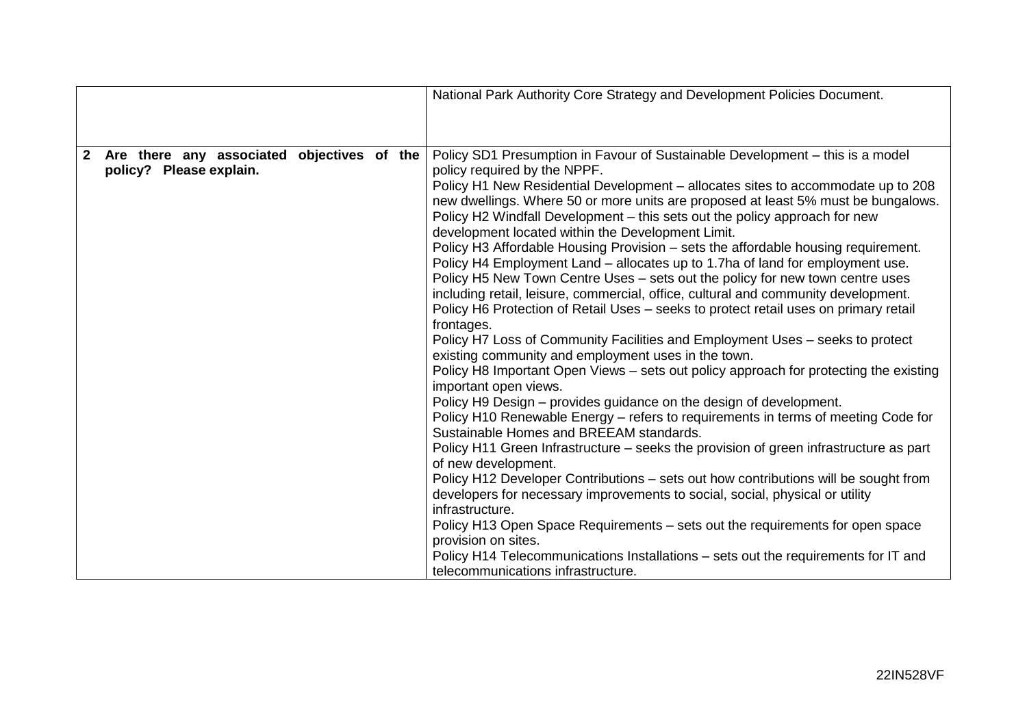|                                                                                            | National Park Authority Core Strategy and Development Policies Document.                                                                                                                                                                                                                                                                                                                                                                                                                                                                                                                                                                                                                                                                                                                                                                                                                                                                                                                                                                                                                                                                                                                                                                                                                                                                                                                                                                                                                                                                                                                                                                                                                                                                                                                                                                             |
|--------------------------------------------------------------------------------------------|------------------------------------------------------------------------------------------------------------------------------------------------------------------------------------------------------------------------------------------------------------------------------------------------------------------------------------------------------------------------------------------------------------------------------------------------------------------------------------------------------------------------------------------------------------------------------------------------------------------------------------------------------------------------------------------------------------------------------------------------------------------------------------------------------------------------------------------------------------------------------------------------------------------------------------------------------------------------------------------------------------------------------------------------------------------------------------------------------------------------------------------------------------------------------------------------------------------------------------------------------------------------------------------------------------------------------------------------------------------------------------------------------------------------------------------------------------------------------------------------------------------------------------------------------------------------------------------------------------------------------------------------------------------------------------------------------------------------------------------------------------------------------------------------------------------------------------------------------|
|                                                                                            |                                                                                                                                                                                                                                                                                                                                                                                                                                                                                                                                                                                                                                                                                                                                                                                                                                                                                                                                                                                                                                                                                                                                                                                                                                                                                                                                                                                                                                                                                                                                                                                                                                                                                                                                                                                                                                                      |
| $\overline{2}$<br>Are there any associated<br>objectives of the<br>policy? Please explain. | Policy SD1 Presumption in Favour of Sustainable Development - this is a model<br>policy required by the NPPF.<br>Policy H1 New Residential Development – allocates sites to accommodate up to 208<br>new dwellings. Where 50 or more units are proposed at least 5% must be bungalows.<br>Policy H2 Windfall Development - this sets out the policy approach for new<br>development located within the Development Limit.<br>Policy H3 Affordable Housing Provision – sets the affordable housing requirement.<br>Policy H4 Employment Land - allocates up to 1.7ha of land for employment use.<br>Policy H5 New Town Centre Uses - sets out the policy for new town centre uses<br>including retail, leisure, commercial, office, cultural and community development.<br>Policy H6 Protection of Retail Uses - seeks to protect retail uses on primary retail<br>frontages.<br>Policy H7 Loss of Community Facilities and Employment Uses - seeks to protect<br>existing community and employment uses in the town.<br>Policy H8 Important Open Views – sets out policy approach for protecting the existing<br>important open views.<br>Policy H9 Design – provides guidance on the design of development.<br>Policy H10 Renewable Energy - refers to requirements in terms of meeting Code for<br>Sustainable Homes and BREEAM standards.<br>Policy H11 Green Infrastructure – seeks the provision of green infrastructure as part<br>of new development.<br>Policy H12 Developer Contributions - sets out how contributions will be sought from<br>developers for necessary improvements to social, social, physical or utility<br>infrastructure.<br>Policy H13 Open Space Requirements - sets out the requirements for open space<br>provision on sites.<br>Policy H14 Telecommunications Installations - sets out the requirements for IT and |
|                                                                                            | telecommunications infrastructure.                                                                                                                                                                                                                                                                                                                                                                                                                                                                                                                                                                                                                                                                                                                                                                                                                                                                                                                                                                                                                                                                                                                                                                                                                                                                                                                                                                                                                                                                                                                                                                                                                                                                                                                                                                                                                   |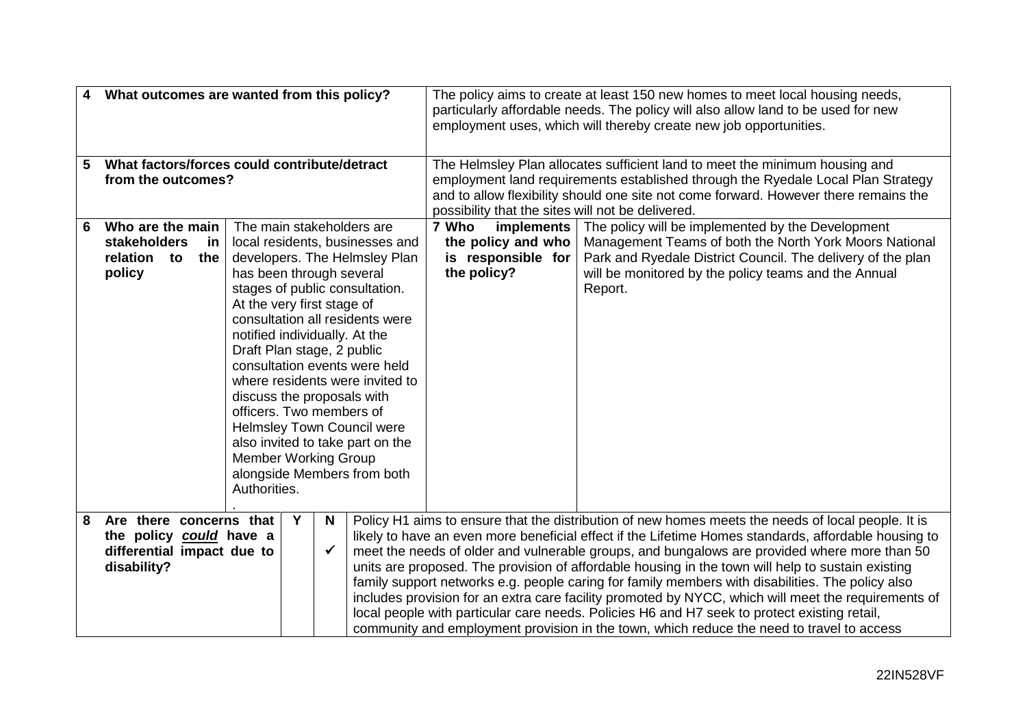| What outcomes are wanted from this policy?<br>4 |                                              |                                             |                                                                                                  |                                                                                                     | The policy aims to create at least 150 new homes to meet local housing needs,<br>particularly affordable needs. The policy will also allow land to be used for new<br>employment uses, which will thereby create new job opportunities. |                    |                                                                                                    |  |
|-------------------------------------------------|----------------------------------------------|---------------------------------------------|--------------------------------------------------------------------------------------------------|-----------------------------------------------------------------------------------------------------|-----------------------------------------------------------------------------------------------------------------------------------------------------------------------------------------------------------------------------------------|--------------------|----------------------------------------------------------------------------------------------------|--|
| 5                                               | What factors/forces could contribute/detract |                                             |                                                                                                  |                                                                                                     | The Helmsley Plan allocates sufficient land to meet the minimum housing and                                                                                                                                                             |                    |                                                                                                    |  |
| from the outcomes?                              |                                              |                                             |                                                                                                  |                                                                                                     | employment land requirements established through the Ryedale Local Plan Strategy<br>and to allow flexibility should one site not come forward. However there remains the                                                                |                    |                                                                                                    |  |
|                                                 |                                              |                                             |                                                                                                  |                                                                                                     | possibility that the sites will not be delivered.                                                                                                                                                                                       |                    |                                                                                                    |  |
| 6                                               | Who are the main                             | The main stakeholders are                   |                                                                                                  |                                                                                                     | 7 Who                                                                                                                                                                                                                                   |                    | implements   The policy will be implemented by the Development                                     |  |
|                                                 | <b>stakeholders</b>                          | local residents, businesses and<br>in       |                                                                                                  |                                                                                                     |                                                                                                                                                                                                                                         | the policy and who | Management Teams of both the North York Moors National                                             |  |
|                                                 | relation<br>to<br>the                        | developers. The Helmsley Plan               |                                                                                                  |                                                                                                     | is responsible for                                                                                                                                                                                                                      |                    | Park and Ryedale District Council. The delivery of the plan                                        |  |
|                                                 | policy                                       | has been through several                    |                                                                                                  |                                                                                                     | the policy?                                                                                                                                                                                                                             |                    | will be monitored by the policy teams and the Annual                                               |  |
|                                                 |                                              | stages of public consultation.              |                                                                                                  |                                                                                                     |                                                                                                                                                                                                                                         |                    | Report.                                                                                            |  |
|                                                 |                                              | At the very first stage of                  |                                                                                                  |                                                                                                     |                                                                                                                                                                                                                                         |                    |                                                                                                    |  |
|                                                 |                                              | consultation all residents were             |                                                                                                  |                                                                                                     |                                                                                                                                                                                                                                         |                    |                                                                                                    |  |
|                                                 |                                              | notified individually. At the               |                                                                                                  |                                                                                                     |                                                                                                                                                                                                                                         |                    |                                                                                                    |  |
|                                                 |                                              | Draft Plan stage, 2 public                  |                                                                                                  |                                                                                                     |                                                                                                                                                                                                                                         |                    |                                                                                                    |  |
|                                                 |                                              | consultation events were held               |                                                                                                  |                                                                                                     |                                                                                                                                                                                                                                         |                    |                                                                                                    |  |
|                                                 |                                              | where residents were invited to             |                                                                                                  |                                                                                                     |                                                                                                                                                                                                                                         |                    |                                                                                                    |  |
|                                                 |                                              | discuss the proposals with                  |                                                                                                  |                                                                                                     |                                                                                                                                                                                                                                         |                    |                                                                                                    |  |
|                                                 |                                              | officers. Two members of                    |                                                                                                  |                                                                                                     |                                                                                                                                                                                                                                         |                    |                                                                                                    |  |
|                                                 |                                              | <b>Helmsley Town Council were</b>           |                                                                                                  |                                                                                                     |                                                                                                                                                                                                                                         |                    |                                                                                                    |  |
|                                                 |                                              | also invited to take part on the            |                                                                                                  |                                                                                                     |                                                                                                                                                                                                                                         |                    |                                                                                                    |  |
|                                                 |                                              | <b>Member Working Group</b>                 |                                                                                                  |                                                                                                     |                                                                                                                                                                                                                                         |                    |                                                                                                    |  |
|                                                 |                                              | alongside Members from both<br>Authorities. |                                                                                                  |                                                                                                     |                                                                                                                                                                                                                                         |                    |                                                                                                    |  |
|                                                 |                                              |                                             |                                                                                                  |                                                                                                     |                                                                                                                                                                                                                                         |                    |                                                                                                    |  |
| 8                                               | Are there concerns that                      | Y                                           | N.                                                                                               |                                                                                                     |                                                                                                                                                                                                                                         |                    | Policy H1 aims to ensure that the distribution of new homes meets the needs of local people. It is |  |
| the policy could have a                         |                                              |                                             |                                                                                                  |                                                                                                     | likely to have an even more beneficial effect if the Lifetime Homes standards, affordable housing to                                                                                                                                    |                    |                                                                                                    |  |
| differential impact due to<br>$\checkmark$      |                                              |                                             |                                                                                                  |                                                                                                     | meet the needs of older and vulnerable groups, and bungalows are provided where more than 50                                                                                                                                            |                    |                                                                                                    |  |
| disability?                                     |                                              |                                             |                                                                                                  |                                                                                                     | units are proposed. The provision of affordable housing in the town will help to sustain existing                                                                                                                                       |                    |                                                                                                    |  |
|                                                 |                                              |                                             | family support networks e.g. people caring for family members with disabilities. The policy also |                                                                                                     |                                                                                                                                                                                                                                         |                    |                                                                                                    |  |
|                                                 |                                              |                                             |                                                                                                  | includes provision for an extra care facility promoted by NYCC, which will meet the requirements of |                                                                                                                                                                                                                                         |                    |                                                                                                    |  |
|                                                 |                                              |                                             | local people with particular care needs. Policies H6 and H7 seek to protect existing retail,     |                                                                                                     |                                                                                                                                                                                                                                         |                    |                                                                                                    |  |
|                                                 |                                              |                                             |                                                                                                  |                                                                                                     |                                                                                                                                                                                                                                         |                    | community and employment provision in the town, which reduce the need to travel to access          |  |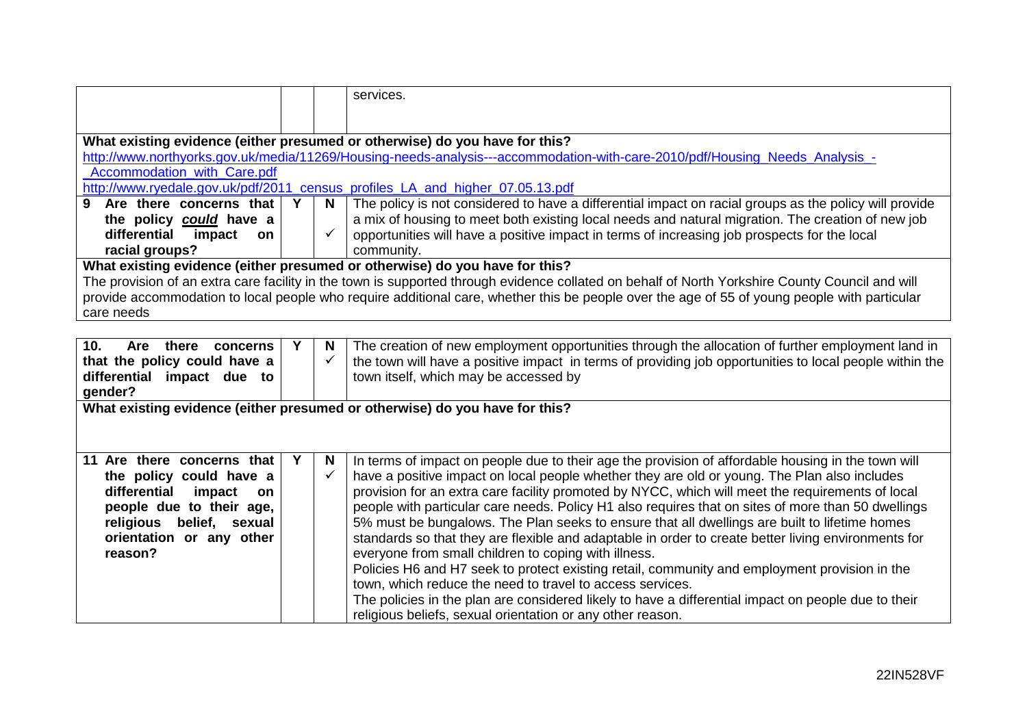|                                                                                                                                |                                                                                               |              | services.                                                                                                                                       |  |  |  |  |
|--------------------------------------------------------------------------------------------------------------------------------|-----------------------------------------------------------------------------------------------|--------------|-------------------------------------------------------------------------------------------------------------------------------------------------|--|--|--|--|
|                                                                                                                                |                                                                                               |              |                                                                                                                                                 |  |  |  |  |
|                                                                                                                                | What existing evidence (either presumed or otherwise) do you have for this?                   |              |                                                                                                                                                 |  |  |  |  |
|                                                                                                                                |                                                                                               |              | http://www.northyorks.gov.uk/media/11269/Housing-needs-analysis---accommodation-with-care-2010/pdf/Housing_Needs_Analysis_-                     |  |  |  |  |
| Accommodation with Care.pdf                                                                                                    |                                                                                               |              |                                                                                                                                                 |  |  |  |  |
| http://www.ryedale.gov.uk/pdf/2011 census profiles LA and higher 07.05.13.pdf                                                  |                                                                                               |              |                                                                                                                                                 |  |  |  |  |
| 9 Are there concerns that                                                                                                      | Y                                                                                             | N            | The policy is not considered to have a differential impact on racial groups as the policy will provide                                          |  |  |  |  |
| the policy could have a                                                                                                        |                                                                                               |              | a mix of housing to meet both existing local needs and natural migration. The creation of new job                                               |  |  |  |  |
| differential impact<br>on.                                                                                                     |                                                                                               |              | opportunities will have a positive impact in terms of increasing job prospects for the local                                                    |  |  |  |  |
| racial groups?                                                                                                                 |                                                                                               |              | community.                                                                                                                                      |  |  |  |  |
|                                                                                                                                |                                                                                               |              | What existing evidence (either presumed or otherwise) do you have for this?                                                                     |  |  |  |  |
|                                                                                                                                |                                                                                               |              | The provision of an extra care facility in the town is supported through evidence collated on behalf of North Yorkshire County Council and will |  |  |  |  |
|                                                                                                                                |                                                                                               |              | provide accommodation to local people who require additional care, whether this be people over the age of 55 of young people with particular    |  |  |  |  |
| care needs                                                                                                                     |                                                                                               |              |                                                                                                                                                 |  |  |  |  |
|                                                                                                                                |                                                                                               |              |                                                                                                                                                 |  |  |  |  |
| 10 <sub>1</sub><br>Are there<br>concerns                                                                                       | Υ                                                                                             | N            | The creation of new employment opportunities through the allocation of further employment land in                                               |  |  |  |  |
| that the policy could have a                                                                                                   |                                                                                               | $\checkmark$ | the town will have a positive impact in terms of providing job opportunities to local people within the                                         |  |  |  |  |
| differential impact due to<br>town itself, which may be accessed by                                                            |                                                                                               |              |                                                                                                                                                 |  |  |  |  |
| gender?                                                                                                                        |                                                                                               |              |                                                                                                                                                 |  |  |  |  |
| What existing evidence (either presumed or otherwise) do you have for this?                                                    |                                                                                               |              |                                                                                                                                                 |  |  |  |  |
|                                                                                                                                |                                                                                               |              |                                                                                                                                                 |  |  |  |  |
|                                                                                                                                |                                                                                               |              |                                                                                                                                                 |  |  |  |  |
| 11 Are there concerns that                                                                                                     | Y                                                                                             | N            | In terms of impact on people due to their age the provision of affordable housing in the town will                                              |  |  |  |  |
| the policy could have a                                                                                                        |                                                                                               | $\checkmark$ | have a positive impact on local people whether they are old or young. The Plan also includes                                                    |  |  |  |  |
| differential<br>impact<br>on                                                                                                   |                                                                                               |              | provision for an extra care facility promoted by NYCC, which will meet the requirements of local                                                |  |  |  |  |
| people with particular care needs. Policy H1 also requires that on sites of more than 50 dwellings<br>people due to their age, |                                                                                               |              |                                                                                                                                                 |  |  |  |  |
| religious belief, sexual                                                                                                       | 5% must be bungalows. The Plan seeks to ensure that all dwellings are built to lifetime homes |              |                                                                                                                                                 |  |  |  |  |
| orientation or any other                                                                                                       |                                                                                               |              | standards so that they are flexible and adaptable in order to create better living environments for                                             |  |  |  |  |
| reason?                                                                                                                        |                                                                                               |              | everyone from small children to coping with illness.                                                                                            |  |  |  |  |
|                                                                                                                                |                                                                                               |              | Policies H6 and H7 seek to protect existing retail, community and employment provision in the                                                   |  |  |  |  |
|                                                                                                                                |                                                                                               |              | town, which reduce the need to travel to access services.                                                                                       |  |  |  |  |
|                                                                                                                                |                                                                                               |              | The policies in the plan are considered likely to have a differential impact on people due to their                                             |  |  |  |  |
|                                                                                                                                |                                                                                               |              | religious beliefs, sexual orientation or any other reason.                                                                                      |  |  |  |  |